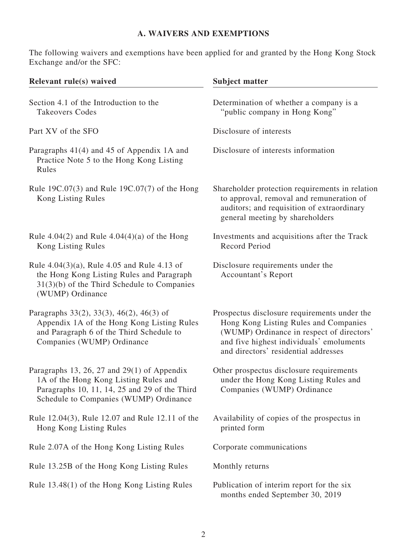# **A. WAIVERS AND EXEMPTIONS**

The following waivers and exemptions have been applied for and granted by the Hong Kong Stock Exchange and/or the SFC:

| Relevant rule(s) waived                                                                                                                                                           | <b>Subject matter</b>                                                                                                                                                                                                  |  |  |
|-----------------------------------------------------------------------------------------------------------------------------------------------------------------------------------|------------------------------------------------------------------------------------------------------------------------------------------------------------------------------------------------------------------------|--|--|
| Section 4.1 of the Introduction to the<br><b>Takeovers Codes</b>                                                                                                                  | Determination of whether a company is a<br>"public company in Hong Kong"                                                                                                                                               |  |  |
| Part XV of the SFO                                                                                                                                                                | Disclosure of interests                                                                                                                                                                                                |  |  |
| Paragraphs 41(4) and 45 of Appendix 1A and<br>Practice Note 5 to the Hong Kong Listing<br>Rules                                                                                   | Disclosure of interests information                                                                                                                                                                                    |  |  |
| Rule 19C.07(3) and Rule 19C.07(7) of the Hong<br>Kong Listing Rules                                                                                                               | Shareholder protection requirements in relation<br>to approval, removal and remuneration of<br>auditors; and requisition of extraordinary<br>general meeting by shareholders                                           |  |  |
| Rule 4.04(2) and Rule $4.04(4)(a)$ of the Hong<br>Kong Listing Rules                                                                                                              | Investments and acquisitions after the Track<br><b>Record Period</b>                                                                                                                                                   |  |  |
| Rule $4.04(3)(a)$ , Rule $4.05$ and Rule $4.13$ of<br>the Hong Kong Listing Rules and Paragraph<br>$31(3)(b)$ of the Third Schedule to Companies<br>(WUMP) Ordinance              | Disclosure requirements under the<br>Accountant's Report                                                                                                                                                               |  |  |
| Paragraphs $33(2)$ , $33(3)$ , $46(2)$ , $46(3)$ of<br>Appendix 1A of the Hong Kong Listing Rules<br>and Paragraph 6 of the Third Schedule to<br>Companies (WUMP) Ordinance       | Prospectus disclosure requirements under the<br>Hong Kong Listing Rules and Companies<br>(WUMP) Ordinance in respect of directors'<br>and five highest individuals' emoluments<br>and directors' residential addresses |  |  |
| Paragraphs 13, 26, 27 and $29(1)$ of Appendix<br>1A of the Hong Kong Listing Rules and<br>Paragraphs 10, 11, 14, 25 and 29 of the Third<br>Schedule to Companies (WUMP) Ordinance | Other prospectus disclosure requirements<br>under the Hong Kong Listing Rules and<br>Companies (WUMP) Ordinance                                                                                                        |  |  |
| Rule 12.04(3), Rule 12.07 and Rule 12.11 of the<br>Hong Kong Listing Rules                                                                                                        | Availability of copies of the prospectus in<br>printed form                                                                                                                                                            |  |  |
| Rule 2.07A of the Hong Kong Listing Rules                                                                                                                                         | Corporate communications                                                                                                                                                                                               |  |  |
| Rule 13.25B of the Hong Kong Listing Rules                                                                                                                                        | Monthly returns                                                                                                                                                                                                        |  |  |
| Rule 13.48(1) of the Hong Kong Listing Rules                                                                                                                                      | Publication of interim report for the six<br>months ended September 30, 2019                                                                                                                                           |  |  |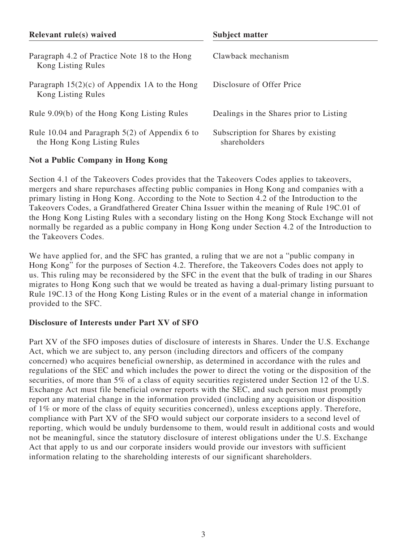| Relevant rule(s) waived                                                         | Subject matter                                      |  |  |
|---------------------------------------------------------------------------------|-----------------------------------------------------|--|--|
| Paragraph 4.2 of Practice Note 18 to the Hong<br>Kong Listing Rules             | Clawback mechanism                                  |  |  |
| Paragraph $15(2)(c)$ of Appendix 1A to the Hong<br>Kong Listing Rules           | Disclosure of Offer Price                           |  |  |
| Rule 9.09(b) of the Hong Kong Listing Rules                                     | Dealings in the Shares prior to Listing             |  |  |
| Rule 10.04 and Paragraph $5(2)$ of Appendix 6 to<br>the Hong Kong Listing Rules | Subscription for Shares by existing<br>shareholders |  |  |

## **Not a Public Company in Hong Kong**

Section 4.1 of the Takeovers Codes provides that the Takeovers Codes applies to takeovers, mergers and share repurchases affecting public companies in Hong Kong and companies with a primary listing in Hong Kong. According to the Note to Section 4.2 of the Introduction to the Takeovers Codes, a Grandfathered Greater China Issuer within the meaning of Rule 19C.01 of the Hong Kong Listing Rules with a secondary listing on the Hong Kong Stock Exchange will not normally be regarded as a public company in Hong Kong under Section 4.2 of the Introduction to the Takeovers Codes.

We have applied for, and the SFC has granted, a ruling that we are not a "public company in Hong Kong" for the purposes of Section 4.2. Therefore, the Takeovers Codes does not apply to us. This ruling may be reconsidered by the SFC in the event that the bulk of trading in our Shares migrates to Hong Kong such that we would be treated as having a dual-primary listing pursuant to Rule 19C.13 of the Hong Kong Listing Rules or in the event of a material change in information provided to the SFC.

# **Disclosure of Interests under Part XV of SFO**

Part XV of the SFO imposes duties of disclosure of interests in Shares. Under the U.S. Exchange Act, which we are subject to, any person (including directors and officers of the company concerned) who acquires beneficial ownership, as determined in accordance with the rules and regulations of the SEC and which includes the power to direct the voting or the disposition of the securities, of more than 5% of a class of equity securities registered under Section 12 of the U.S. Exchange Act must file beneficial owner reports with the SEC, and such person must promptly report any material change in the information provided (including any acquisition or disposition of 1% or more of the class of equity securities concerned), unless exceptions apply. Therefore, compliance with Part XV of the SFO would subject our corporate insiders to a second level of reporting, which would be unduly burdensome to them, would result in additional costs and would not be meaningful, since the statutory disclosure of interest obligations under the U.S. Exchange Act that apply to us and our corporate insiders would provide our investors with sufficient information relating to the shareholding interests of our significant shareholders.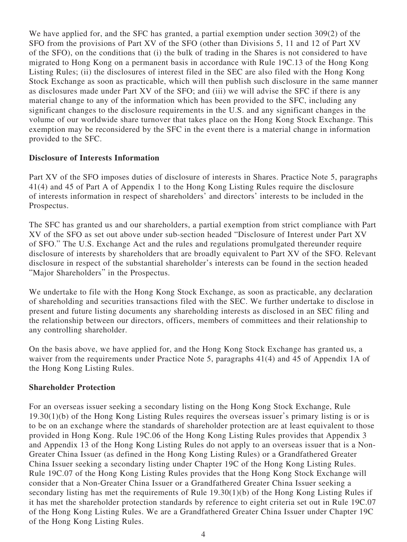We have applied for, and the SFC has granted, a partial exemption under section 309(2) of the SFO from the provisions of Part XV of the SFO (other than Divisions 5, 11 and 12 of Part XV of the SFO), on the conditions that (i) the bulk of trading in the Shares is not considered to have migrated to Hong Kong on a permanent basis in accordance with Rule 19C.13 of the Hong Kong Listing Rules; (ii) the disclosures of interest filed in the SEC are also filed with the Hong Kong Stock Exchange as soon as practicable, which will then publish such disclosure in the same manner as disclosures made under Part XV of the SFO; and (iii) we will advise the SFC if there is any material change to any of the information which has been provided to the SFC, including any significant changes to the disclosure requirements in the U.S. and any significant changes in the volume of our worldwide share turnover that takes place on the Hong Kong Stock Exchange. This exemption may be reconsidered by the SFC in the event there is a material change in information provided to the SFC.

#### **Disclosure of Interests Information**

Part XV of the SFO imposes duties of disclosure of interests in Shares. Practice Note 5, paragraphs 41(4) and 45 of Part A of Appendix 1 to the Hong Kong Listing Rules require the disclosure of interests information in respect of shareholders' and directors' interests to be included in the Prospectus.

The SFC has granted us and our shareholders, a partial exemption from strict compliance with Part XV of the SFO as set out above under sub-section headed "Disclosure of Interest under Part XV of SFO." The U.S. Exchange Act and the rules and regulations promulgated thereunder require disclosure of interests by shareholders that are broadly equivalent to Part XV of the SFO. Relevant disclosure in respect of the substantial shareholder's interests can be found in the section headed "Major Shareholders" in the Prospectus.

We undertake to file with the Hong Kong Stock Exchange, as soon as practicable, any declaration of shareholding and securities transactions filed with the SEC. We further undertake to disclose in present and future listing documents any shareholding interests as disclosed in an SEC filing and the relationship between our directors, officers, members of committees and their relationship to any controlling shareholder.

On the basis above, we have applied for, and the Hong Kong Stock Exchange has granted us, a waiver from the requirements under Practice Note 5, paragraphs 41(4) and 45 of Appendix 1A of the Hong Kong Listing Rules.

#### **Shareholder Protection**

For an overseas issuer seeking a secondary listing on the Hong Kong Stock Exchange, Rule 19.30(1)(b) of the Hong Kong Listing Rules requires the overseas issuer's primary listing is or is to be on an exchange where the standards of shareholder protection are at least equivalent to those provided in Hong Kong. Rule 19C.06 of the Hong Kong Listing Rules provides that Appendix 3 and Appendix 13 of the Hong Kong Listing Rules do not apply to an overseas issuer that is a Non-Greater China Issuer (as defined in the Hong Kong Listing Rules) or a Grandfathered Greater China Issuer seeking a secondary listing under Chapter 19C of the Hong Kong Listing Rules. Rule 19C.07 of the Hong Kong Listing Rules provides that the Hong Kong Stock Exchange will consider that a Non-Greater China Issuer or a Grandfathered Greater China Issuer seeking a secondary listing has met the requirements of Rule 19.30(1)(b) of the Hong Kong Listing Rules if it has met the shareholder protection standards by reference to eight criteria set out in Rule 19C.07 of the Hong Kong Listing Rules. We are a Grandfathered Greater China Issuer under Chapter 19C of the Hong Kong Listing Rules.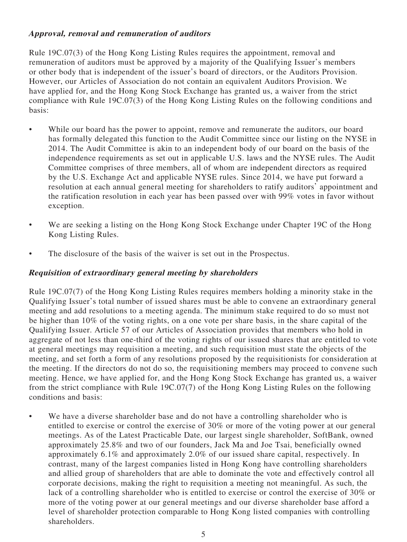# **Approval, removal and remuneration of auditors**

Rule 19C.07(3) of the Hong Kong Listing Rules requires the appointment, removal and remuneration of auditors must be approved by a majority of the Qualifying Issuer's members or other body that is independent of the issuer's board of directors, or the Auditors Provision. However, our Articles of Association do not contain an equivalent Auditors Provision. We have applied for, and the Hong Kong Stock Exchange has granted us, a waiver from the strict compliance with Rule 19C.07(3) of the Hong Kong Listing Rules on the following conditions and basis:

- While our board has the power to appoint, remove and remunerate the auditors, our board has formally delegated this function to the Audit Committee since our listing on the NYSE in 2014. The Audit Committee is akin to an independent body of our board on the basis of the independence requirements as set out in applicable U.S. laws and the NYSE rules. The Audit Committee comprises of three members, all of whom are independent directors as required by the U.S. Exchange Act and applicable NYSE rules. Since 2014, we have put forward a resolution at each annual general meeting for shareholders to ratify auditors' appointment and the ratification resolution in each year has been passed over with 99% votes in favor without exception.
- We are seeking a listing on the Hong Kong Stock Exchange under Chapter 19C of the Hong Kong Listing Rules.
- The disclosure of the basis of the waiver is set out in the Prospectus.

### **Requisition of extraordinary general meeting by shareholders**

Rule 19C.07(7) of the Hong Kong Listing Rules requires members holding a minority stake in the Qualifying Issuer's total number of issued shares must be able to convene an extraordinary general meeting and add resolutions to a meeting agenda. The minimum stake required to do so must not be higher than 10% of the voting rights, on a one vote per share basis, in the share capital of the Qualifying Issuer. Article 57 of our Articles of Association provides that members who hold in aggregate of not less than one-third of the voting rights of our issued shares that are entitled to vote at general meetings may requisition a meeting, and such requisition must state the objects of the meeting, and set forth a form of any resolutions proposed by the requisitionists for consideration at the meeting. If the directors do not do so, the requisitioning members may proceed to convene such meeting. Hence, we have applied for, and the Hong Kong Stock Exchange has granted us, a waiver from the strict compliance with Rule 19C.07(7) of the Hong Kong Listing Rules on the following conditions and basis:

• We have a diverse shareholder base and do not have a controlling shareholder who is entitled to exercise or control the exercise of 30% or more of the voting power at our general meetings. As of the Latest Practicable Date, our largest single shareholder, SoftBank, owned approximately 25.8% and two of our founders, Jack Ma and Joe Tsai, beneficially owned approximately 6.1% and approximately 2.0% of our issued share capital, respectively. In contrast, many of the largest companies listed in Hong Kong have controlling shareholders and allied group of shareholders that are able to dominate the vote and effectively control all corporate decisions, making the right to requisition a meeting not meaningful. As such, the lack of a controlling shareholder who is entitled to exercise or control the exercise of 30% or more of the voting power at our general meetings and our diverse shareholder base afford a level of shareholder protection comparable to Hong Kong listed companies with controlling shareholders.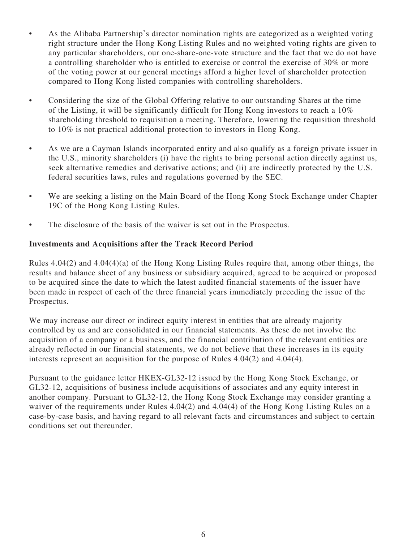- As the Alibaba Partnership's director nomination rights are categorized as a weighted voting right structure under the Hong Kong Listing Rules and no weighted voting rights are given to any particular shareholders, our one-share-one-vote structure and the fact that we do not have a controlling shareholder who is entitled to exercise or control the exercise of 30% or more of the voting power at our general meetings afford a higher level of shareholder protection compared to Hong Kong listed companies with controlling shareholders.
- Considering the size of the Global Offering relative to our outstanding Shares at the time of the Listing, it will be significantly difficult for Hong Kong investors to reach a 10% shareholding threshold to requisition a meeting. Therefore, lowering the requisition threshold to 10% is not practical additional protection to investors in Hong Kong.
- As we are a Cayman Islands incorporated entity and also qualify as a foreign private issuer in the U.S., minority shareholders (i) have the rights to bring personal action directly against us, seek alternative remedies and derivative actions; and (ii) are indirectly protected by the U.S. federal securities laws, rules and regulations governed by the SEC.
- We are seeking a listing on the Main Board of the Hong Kong Stock Exchange under Chapter 19C of the Hong Kong Listing Rules.
- The disclosure of the basis of the waiver is set out in the Prospectus.

## **Investments and Acquisitions after the Track Record Period**

Rules 4.04(2) and 4.04(4)(a) of the Hong Kong Listing Rules require that, among other things, the results and balance sheet of any business or subsidiary acquired, agreed to be acquired or proposed to be acquired since the date to which the latest audited financial statements of the issuer have been made in respect of each of the three financial years immediately preceding the issue of the Prospectus.

We may increase our direct or indirect equity interest in entities that are already majority controlled by us and are consolidated in our financial statements. As these do not involve the acquisition of a company or a business, and the financial contribution of the relevant entities are already reflected in our financial statements, we do not believe that these increases in its equity interests represent an acquisition for the purpose of Rules 4.04(2) and 4.04(4).

Pursuant to the guidance letter HKEX-GL32-12 issued by the Hong Kong Stock Exchange, or GL32-12, acquisitions of business include acquisitions of associates and any equity interest in another company. Pursuant to GL32-12, the Hong Kong Stock Exchange may consider granting a waiver of the requirements under Rules 4.04(2) and 4.04(4) of the Hong Kong Listing Rules on a case-by-case basis, and having regard to all relevant facts and circumstances and subject to certain conditions set out thereunder.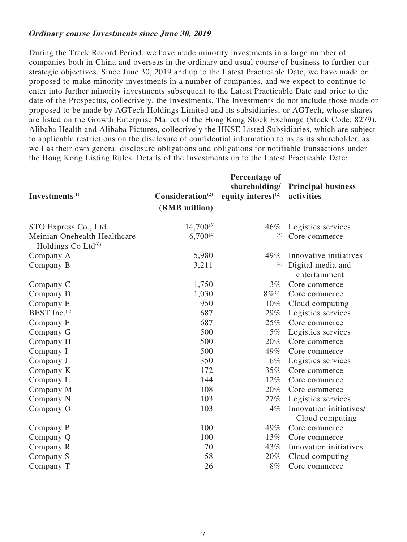#### **Ordinary course Investments since June 30, 2019**

During the Track Record Period, we have made minority investments in a large number of companies both in China and overseas in the ordinary and usual course of business to further our strategic objectives. Since June 30, 2019 and up to the Latest Practicable Date, we have made or proposed to make minority investments in a number of companies, and we expect to continue to enter into further minority investments subsequent to the Latest Practicable Date and prior to the date of the Prospectus, collectively, the Investments. The Investments do not include those made or proposed to be made by AGTech Holdings Limited and its subsidiaries, or AGTech, whose shares are listed on the Growth Enterprise Market of the Hong Kong Stock Exchange (Stock Code: 8279), Alibaba Health and Alibaba Pictures, collectively the HKSE Listed Subsidiaries, which are subject to applicable restrictions on the disclosure of confidential information to us as its shareholder, as well as their own general disclosure obligations and obligations for notifiable transactions under the Hong Kong Listing Rules. Details of the Investments up to the Latest Practicable Date:

|                                                                |                              | <b>Percentage of</b><br>shareholding/ | <b>Principal business</b>          |
|----------------------------------------------------------------|------------------------------|---------------------------------------|------------------------------------|
| Investments $(1)$                                              | Consideration <sup>(2)</sup> | equity interest $(2)$                 | activities                         |
|                                                                | (RMB million)                |                                       |                                    |
| STO Express Co., Ltd.                                          | $14,700^{(3)}$               | $46\%$                                | Logistics services                 |
| Meinian Onehealth Healthcare<br>Holdings Co Ltd <sup>(6)</sup> | $6,700^{(4)}$                | $-^{(5)}$                             | Core commerce                      |
| Company A                                                      | 5,980                        | 49%                                   | Innovative initiatives             |
| Company B                                                      | 3,211                        | $-^{(5)}$                             | Digital media and<br>entertainment |
| Company C                                                      | 1,750                        | $3\%$                                 | Core commerce                      |
| Company D                                                      | 1,030                        | $8\%^{(7)}$                           | Core commerce                      |
| Company E                                                      | 950                          | $10\%$                                | Cloud computing                    |
| BEST Inc. <sup>(8)</sup>                                       | 687                          | 29%                                   | Logistics services                 |
| Company F                                                      | 687                          | 25%                                   | Core commerce                      |
| Company G                                                      | 500                          | $5\%$                                 | Logistics services                 |
| Company H                                                      | 500                          | 20%                                   | Core commerce                      |
| Company I                                                      | 500                          | 49%                                   | Core commerce                      |
| Company J                                                      | 350                          | 6%                                    | Logistics services                 |
| Company K                                                      | 172                          | 35%                                   | Core commerce                      |
| Company L                                                      | 144                          | 12%                                   | Core commerce                      |
| Company M                                                      | 108                          | 20%                                   | Core commerce                      |
| Company N                                                      | 103                          | 27%                                   | Logistics services                 |
| Company O                                                      | 103                          | $4\%$                                 | Innovation initiatives/            |
|                                                                |                              |                                       | Cloud computing                    |
| Company P                                                      | 100                          | 49%                                   | Core commerce                      |
| Company Q                                                      | 100                          | 13%                                   | Core commerce                      |
| Company R                                                      | 70                           | 43%                                   | Innovation initiatives             |
| Company S                                                      | 58                           | 20%                                   | Cloud computing                    |
| Company T                                                      | 26                           | 8%                                    | Core commerce                      |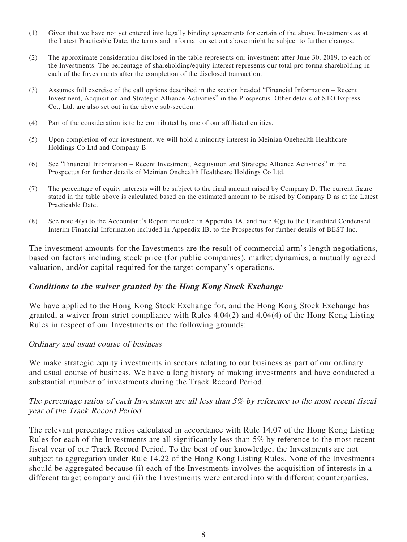- (1) Given that we have not yet entered into legally binding agreements for certain of the above Investments as at the Latest Practicable Date, the terms and information set out above might be subject to further changes.
- (2) The approximate consideration disclosed in the table represents our investment after June 30, 2019, to each of the Investments. The percentage of shareholding/equity interest represents our total pro forma shareholding in each of the Investments after the completion of the disclosed transaction.
- (3) Assumes full exercise of the call options described in the section headed "Financial Information Recent Investment, Acquisition and Strategic Alliance Activities" in the Prospectus. Other details of STO Express Co., Ltd. are also set out in the above sub-section.
- (4) Part of the consideration is to be contributed by one of our affiliated entities.
- (5) Upon completion of our investment, we will hold a minority interest in Meinian Onehealth Healthcare Holdings Co Ltd and Company B.
- (6) See "Financial Information Recent Investment, Acquisition and Strategic Alliance Activities" in the Prospectus for further details of Meinian Onehealth Healthcare Holdings Co Ltd.
- (7) The percentage of equity interests will be subject to the final amount raised by Company D. The current figure stated in the table above is calculated based on the estimated amount to be raised by Company D as at the Latest Practicable Date.
- (8) See note 4(y) to the Accountant's Report included in Appendix IA, and note 4(g) to the Unaudited Condensed Interim Financial Information included in Appendix IB, to the Prospectus for further details of BEST Inc.

The investment amounts for the Investments are the result of commercial arm's length negotiations, based on factors including stock price (for public companies), market dynamics, a mutually agreed valuation, and/or capital required for the target company's operations.

#### **Conditions to the waiver granted by the Hong Kong Stock Exchange**

We have applied to the Hong Kong Stock Exchange for, and the Hong Kong Stock Exchange has granted, a waiver from strict compliance with Rules 4.04(2) and 4.04(4) of the Hong Kong Listing Rules in respect of our Investments on the following grounds:

#### Ordinary and usual course of business

We make strategic equity investments in sectors relating to our business as part of our ordinary and usual course of business. We have a long history of making investments and have conducted a substantial number of investments during the Track Record Period.

#### The percentage ratios of each Investment are all less than 5% by reference to the most recent fiscal year of the Track Record Period

The relevant percentage ratios calculated in accordance with Rule 14.07 of the Hong Kong Listing Rules for each of the Investments are all significantly less than 5% by reference to the most recent fiscal year of our Track Record Period. To the best of our knowledge, the Investments are not subject to aggregation under Rule 14.22 of the Hong Kong Listing Rules. None of the Investments should be aggregated because (i) each of the Investments involves the acquisition of interests in a different target company and (ii) the Investments were entered into with different counterparties.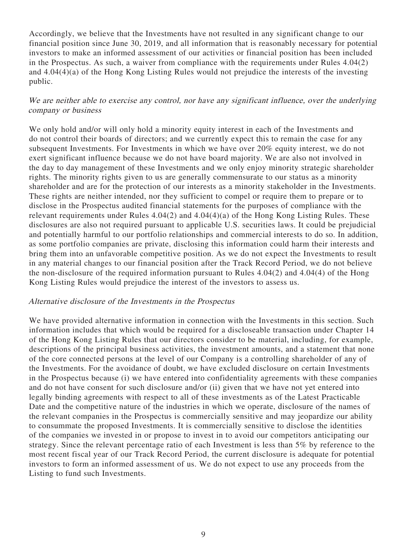Accordingly, we believe that the Investments have not resulted in any significant change to our financial position since June 30, 2019, and all information that is reasonably necessary for potential investors to make an informed assessment of our activities or financial position has been included in the Prospectus. As such, a waiver from compliance with the requirements under Rules 4.04(2) and 4.04(4)(a) of the Hong Kong Listing Rules would not prejudice the interests of the investing public.

#### We are neither able to exercise any control, nor have any significant influence, over the underlying company or business

We only hold and/or will only hold a minority equity interest in each of the Investments and do not control their boards of directors; and we currently expect this to remain the case for any subsequent Investments. For Investments in which we have over 20% equity interest, we do not exert significant influence because we do not have board majority. We are also not involved in the day to day management of these Investments and we only enjoy minority strategic shareholder rights. The minority rights given to us are generally commensurate to our status as a minority shareholder and are for the protection of our interests as a minority stakeholder in the Investments. These rights are neither intended, nor they sufficient to compel or require them to prepare or to disclose in the Prospectus audited financial statements for the purposes of compliance with the relevant requirements under Rules 4.04(2) and 4.04(4)(a) of the Hong Kong Listing Rules. These disclosures are also not required pursuant to applicable U.S. securities laws. It could be prejudicial and potentially harmful to our portfolio relationships and commercial interests to do so. In addition, as some portfolio companies are private, disclosing this information could harm their interests and bring them into an unfavorable competitive position. As we do not expect the Investments to result in any material changes to our financial position after the Track Record Period, we do not believe the non-disclosure of the required information pursuant to Rules 4.04(2) and 4.04(4) of the Hong Kong Listing Rules would prejudice the interest of the investors to assess us.

#### Alternative disclosure of the Investments in the Prospectus

We have provided alternative information in connection with the Investments in this section. Such information includes that which would be required for a discloseable transaction under Chapter 14 of the Hong Kong Listing Rules that our directors consider to be material, including, for example, descriptions of the principal business activities, the investment amounts, and a statement that none of the core connected persons at the level of our Company is a controlling shareholder of any of the Investments. For the avoidance of doubt, we have excluded disclosure on certain Investments in the Prospectus because (i) we have entered into confidentiality agreements with these companies and do not have consent for such disclosure and/or (ii) given that we have not yet entered into legally binding agreements with respect to all of these investments as of the Latest Practicable Date and the competitive nature of the industries in which we operate, disclosure of the names of the relevant companies in the Prospectus is commercially sensitive and may jeopardize our ability to consummate the proposed Investments. It is commercially sensitive to disclose the identities of the companies we invested in or propose to invest in to avoid our competitors anticipating our strategy. Since the relevant percentage ratio of each Investment is less than 5% by reference to the most recent fiscal year of our Track Record Period, the current disclosure is adequate for potential investors to form an informed assessment of us. We do not expect to use any proceeds from the Listing to fund such Investments.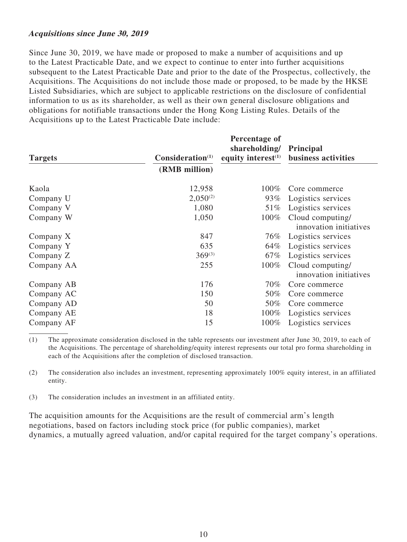#### **Acquisitions since June 30, 2019**

Since June 30, 2019, we have made or proposed to make a number of acquisitions and up to the Latest Practicable Date, and we expect to continue to enter into further acquisitions subsequent to the Latest Practicable Date and prior to the date of the Prospectus, collectively, the Acquisitions. The Acquisitions do not include those made or proposed, to be made by the HKSE Listed Subsidiaries, which are subject to applicable restrictions on the disclosure of confidential information to us as its shareholder, as well as their own general disclosure obligations and obligations for notifiable transactions under the Hong Kong Listing Rules. Details of the Acquisitions up to the Latest Practicable Date include:

| <b>Targets</b> | Consideration <sup>(1)</sup> | Percentage of<br>shareholding/<br>equity interest $(1)$ | <b>Principal</b><br>business activities    |
|----------------|------------------------------|---------------------------------------------------------|--------------------------------------------|
|                | (RMB million)                |                                                         |                                            |
| Kaola          | 12,958                       | $100\%$                                                 | Core commerce                              |
| Company U      | $2,050^{(2)}$                | 93%                                                     | Logistics services                         |
| Company V      | 1,080                        | 51\%                                                    | Logistics services                         |
| Company W      | 1,050                        | 100%                                                    | Cloud computing/<br>innovation initiatives |
| Company X      | 847                          | 76%                                                     | Logistics services                         |
| Company Y      | 635                          | 64%                                                     | Logistics services                         |
| Company Z      | $369^{(3)}$                  | 67%                                                     | Logistics services                         |
| Company AA     | 255                          | 100%                                                    | Cloud computing/<br>innovation initiatives |
| Company AB     | 176                          | $70\%$                                                  | Core commerce                              |
| Company AC     | 150                          | 50%                                                     | Core commerce                              |
| Company AD     | 50                           | 50%                                                     | Core commerce                              |
| Company AE     | 18                           | 100%                                                    | Logistics services                         |
| Company AF     | 15                           | 100%                                                    | Logistics services                         |

(1) The approximate consideration disclosed in the table represents our investment after June 30, 2019, to each of the Acquisitions. The percentage of shareholding/equity interest represents our total pro forma shareholding in each of the Acquisitions after the completion of disclosed transaction.

(2) The consideration also includes an investment, representing approximately 100% equity interest, in an affiliated entity.

(3) The consideration includes an investment in an affiliated entity.

The acquisition amounts for the Acquisitions are the result of commercial arm's length negotiations, based on factors including stock price (for public companies), market dynamics, a mutually agreed valuation, and/or capital required for the target company's operations.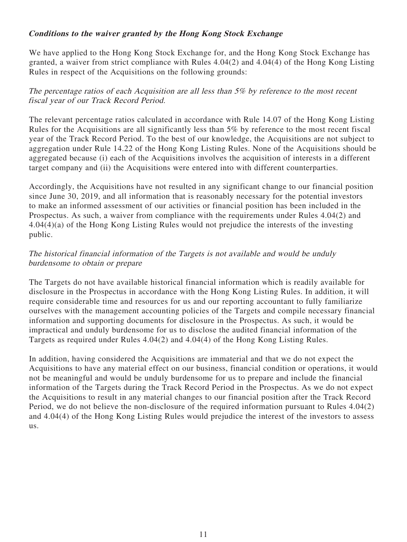### **Conditions to the waiver granted by the Hong Kong Stock Exchange**

We have applied to the Hong Kong Stock Exchange for, and the Hong Kong Stock Exchange has granted, a waiver from strict compliance with Rules 4.04(2) and 4.04(4) of the Hong Kong Listing Rules in respect of the Acquisitions on the following grounds:

## The percentage ratios of each Acquisition are all less than 5% by reference to the most recent fiscal year of our Track Record Period.

The relevant percentage ratios calculated in accordance with Rule 14.07 of the Hong Kong Listing Rules for the Acquisitions are all significantly less than 5% by reference to the most recent fiscal year of the Track Record Period. To the best of our knowledge, the Acquisitions are not subject to aggregation under Rule 14.22 of the Hong Kong Listing Rules. None of the Acquisitions should be aggregated because (i) each of the Acquisitions involves the acquisition of interests in a different target company and (ii) the Acquisitions were entered into with different counterparties.

Accordingly, the Acquisitions have not resulted in any significant change to our financial position since June 30, 2019, and all information that is reasonably necessary for the potential investors to make an informed assessment of our activities or financial position has been included in the Prospectus. As such, a waiver from compliance with the requirements under Rules 4.04(2) and 4.04(4)(a) of the Hong Kong Listing Rules would not prejudice the interests of the investing public.

### The historical financial information of the Targets is not available and would be unduly burdensome to obtain or prepare

The Targets do not have available historical financial information which is readily available for disclosure in the Prospectus in accordance with the Hong Kong Listing Rules. In addition, it will require considerable time and resources for us and our reporting accountant to fully familiarize ourselves with the management accounting policies of the Targets and compile necessary financial information and supporting documents for disclosure in the Prospectus. As such, it would be impractical and unduly burdensome for us to disclose the audited financial information of the Targets as required under Rules 4.04(2) and 4.04(4) of the Hong Kong Listing Rules.

In addition, having considered the Acquisitions are immaterial and that we do not expect the Acquisitions to have any material effect on our business, financial condition or operations, it would not be meaningful and would be unduly burdensome for us to prepare and include the financial information of the Targets during the Track Record Period in the Prospectus. As we do not expect the Acquisitions to result in any material changes to our financial position after the Track Record Period, we do not believe the non-disclosure of the required information pursuant to Rules 4.04(2) and 4.04(4) of the Hong Kong Listing Rules would prejudice the interest of the investors to assess us.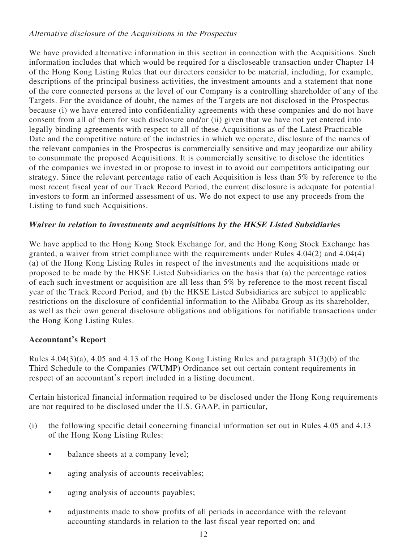### Alternative disclosure of the Acquisitions in the Prospectus

We have provided alternative information in this section in connection with the Acquisitions. Such information includes that which would be required for a discloseable transaction under Chapter 14 of the Hong Kong Listing Rules that our directors consider to be material, including, for example, descriptions of the principal business activities, the investment amounts and a statement that none of the core connected persons at the level of our Company is a controlling shareholder of any of the Targets. For the avoidance of doubt, the names of the Targets are not disclosed in the Prospectus because (i) we have entered into confidentiality agreements with these companies and do not have consent from all of them for such disclosure and/or (ii) given that we have not yet entered into legally binding agreements with respect to all of these Acquisitions as of the Latest Practicable Date and the competitive nature of the industries in which we operate, disclosure of the names of the relevant companies in the Prospectus is commercially sensitive and may jeopardize our ability to consummate the proposed Acquisitions. It is commercially sensitive to disclose the identities of the companies we invested in or propose to invest in to avoid our competitors anticipating our strategy. Since the relevant percentage ratio of each Acquisition is less than 5% by reference to the most recent fiscal year of our Track Record Period, the current disclosure is adequate for potential investors to form an informed assessment of us. We do not expect to use any proceeds from the Listing to fund such Acquisitions.

# **Waiver in relation to investments and acquisitions by the HKSE Listed Subsidiaries**

We have applied to the Hong Kong Stock Exchange for, and the Hong Kong Stock Exchange has granted, a waiver from strict compliance with the requirements under Rules 4.04(2) and 4.04(4) (a) of the Hong Kong Listing Rules in respect of the investments and the acquisitions made or proposed to be made by the HKSE Listed Subsidiaries on the basis that (a) the percentage ratios of each such investment or acquisition are all less than 5% by reference to the most recent fiscal year of the Track Record Period, and (b) the HKSE Listed Subsidiaries are subject to applicable restrictions on the disclosure of confidential information to the Alibaba Group as its shareholder, as well as their own general disclosure obligations and obligations for notifiable transactions under the Hong Kong Listing Rules.

# **Accountant's Report**

Rules 4.04(3)(a), 4.05 and 4.13 of the Hong Kong Listing Rules and paragraph 31(3)(b) of the Third Schedule to the Companies (WUMP) Ordinance set out certain content requirements in respect of an accountant's report included in a listing document.

Certain historical financial information required to be disclosed under the Hong Kong requirements are not required to be disclosed under the U.S. GAAP, in particular,

- (i) the following specific detail concerning financial information set out in Rules 4.05 and 4.13 of the Hong Kong Listing Rules:
	- balance sheets at a company level;
	- aging analysis of accounts receivables;
	- aging analysis of accounts payables;
	- adjustments made to show profits of all periods in accordance with the relevant accounting standards in relation to the last fiscal year reported on; and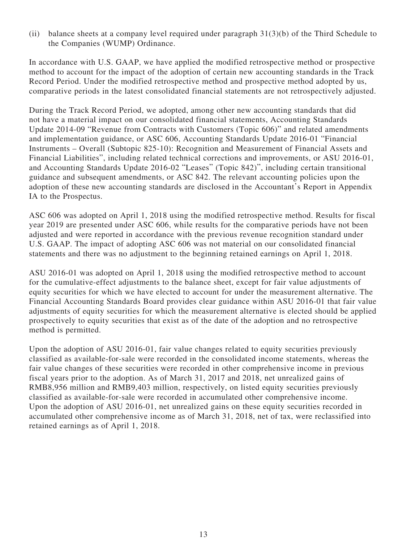(ii) balance sheets at a company level required under paragraph 31(3)(b) of the Third Schedule to the Companies (WUMP) Ordinance.

In accordance with U.S. GAAP, we have applied the modified retrospective method or prospective method to account for the impact of the adoption of certain new accounting standards in the Track Record Period. Under the modified retrospective method and prospective method adopted by us, comparative periods in the latest consolidated financial statements are not retrospectively adjusted.

During the Track Record Period, we adopted, among other new accounting standards that did not have a material impact on our consolidated financial statements, Accounting Standards Update 2014-09 "Revenue from Contracts with Customers (Topic 606)" and related amendments and implementation guidance, or ASC 606, Accounting Standards Update 2016-01 "Financial Instruments – Overall (Subtopic 825-10): Recognition and Measurement of Financial Assets and Financial Liabilities", including related technical corrections and improvements, or ASU 2016-01, and Accounting Standards Update 2016-02 "Leases" (Topic 842)", including certain transitional guidance and subsequent amendments, or ASC 842. The relevant accounting policies upon the adoption of these new accounting standards are disclosed in the Accountant's Report in Appendix IA to the Prospectus.

ASC 606 was adopted on April 1, 2018 using the modified retrospective method. Results for fiscal year 2019 are presented under ASC 606, while results for the comparative periods have not been adjusted and were reported in accordance with the previous revenue recognition standard under U.S. GAAP. The impact of adopting ASC 606 was not material on our consolidated financial statements and there was no adjustment to the beginning retained earnings on April 1, 2018.

ASU 2016-01 was adopted on April 1, 2018 using the modified retrospective method to account for the cumulative-effect adjustments to the balance sheet, except for fair value adjustments of equity securities for which we have elected to account for under the measurement alternative. The Financial Accounting Standards Board provides clear guidance within ASU 2016-01 that fair value adjustments of equity securities for which the measurement alternative is elected should be applied prospectively to equity securities that exist as of the date of the adoption and no retrospective method is permitted.

Upon the adoption of ASU 2016-01, fair value changes related to equity securities previously classified as available-for-sale were recorded in the consolidated income statements, whereas the fair value changes of these securities were recorded in other comprehensive income in previous fiscal years prior to the adoption. As of March 31, 2017 and 2018, net unrealized gains of RMB8,956 million and RMB9,403 million, respectively, on listed equity securities previously classified as available-for-sale were recorded in accumulated other comprehensive income. Upon the adoption of ASU 2016-01, net unrealized gains on these equity securities recorded in accumulated other comprehensive income as of March 31, 2018, net of tax, were reclassified into retained earnings as of April 1, 2018.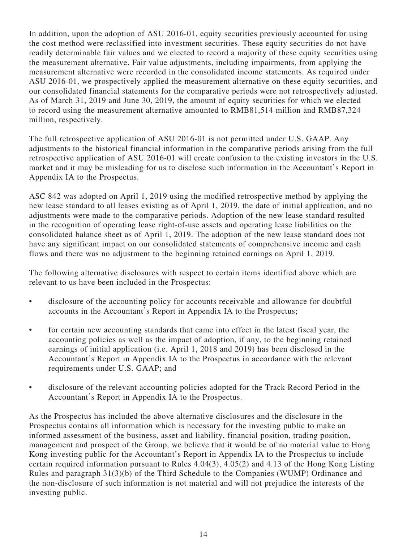In addition, upon the adoption of ASU 2016-01, equity securities previously accounted for using the cost method were reclassified into investment securities. These equity securities do not have readily determinable fair values and we elected to record a majority of these equity securities using the measurement alternative. Fair value adjustments, including impairments, from applying the measurement alternative were recorded in the consolidated income statements. As required under ASU 2016-01, we prospectively applied the measurement alternative on these equity securities, and our consolidated financial statements for the comparative periods were not retrospectively adjusted. As of March 31, 2019 and June 30, 2019, the amount of equity securities for which we elected to record using the measurement alternative amounted to RMB81,514 million and RMB87,324 million, respectively.

The full retrospective application of ASU 2016-01 is not permitted under U.S. GAAP. Any adjustments to the historical financial information in the comparative periods arising from the full retrospective application of ASU 2016-01 will create confusion to the existing investors in the U.S. market and it may be misleading for us to disclose such information in the Accountant's Report in Appendix IA to the Prospectus.

ASC 842 was adopted on April 1, 2019 using the modified retrospective method by applying the new lease standard to all leases existing as of April 1, 2019, the date of initial application, and no adjustments were made to the comparative periods. Adoption of the new lease standard resulted in the recognition of operating lease right-of-use assets and operating lease liabilities on the consolidated balance sheet as of April 1, 2019. The adoption of the new lease standard does not have any significant impact on our consolidated statements of comprehensive income and cash flows and there was no adjustment to the beginning retained earnings on April 1, 2019.

The following alternative disclosures with respect to certain items identified above which are relevant to us have been included in the Prospectus:

- disclosure of the accounting policy for accounts receivable and allowance for doubtful accounts in the Accountant's Report in Appendix IA to the Prospectus;
- for certain new accounting standards that came into effect in the latest fiscal year, the accounting policies as well as the impact of adoption, if any, to the beginning retained earnings of initial application (i.e. April 1, 2018 and 2019) has been disclosed in the Accountant's Report in Appendix IA to the Prospectus in accordance with the relevant requirements under U.S. GAAP; and
- disclosure of the relevant accounting policies adopted for the Track Record Period in the Accountant's Report in Appendix IA to the Prospectus.

As the Prospectus has included the above alternative disclosures and the disclosure in the Prospectus contains all information which is necessary for the investing public to make an informed assessment of the business, asset and liability, financial position, trading position, management and prospect of the Group, we believe that it would be of no material value to Hong Kong investing public for the Accountant's Report in Appendix IA to the Prospectus to include certain required information pursuant to Rules 4.04(3), 4.05(2) and 4.13 of the Hong Kong Listing Rules and paragraph 31(3)(b) of the Third Schedule to the Companies (WUMP) Ordinance and the non-disclosure of such information is not material and will not prejudice the interests of the investing public.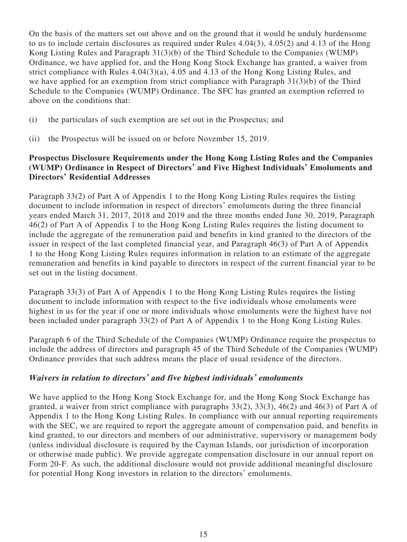On the basis of the matters set out above and on the ground that it would be unduly burdensome to us to include certain disclosures as required under Rules 4.04(3), 4.05(2) and 4.13 of the Hong Kong Listing Rules and Paragraph 31(3)(b) of the Third Schedule to the Companies (WUMP) Ordinance, we have applied for, and the Hong Kong Stock Exchange has granted, a waiver from strict compliance with Rules 4.04(3)(a), 4.05 and 4.13 of the Hong Kong Listing Rules, and we have applied for an exemption from strict compliance with Paragraph 31(3)(b) of the Third Schedule to the Companies (WUMP) Ordinance. The SFC has granted an exemption referred to above on the conditions that:

- (i) the particulars of such exemption are set out in the Prospectus; and
- (ii) the Prospectus will be issued on or before November 15, 2019.

## **Prospectus Disclosure Requirements under the Hong Kong Listing Rules and the Companies (WUMP) Ordinance in Respect of Directors' and Five Highest Individuals' Emoluments and Directors' Residential Addresses**

Paragraph 33(2) of Part A of Appendix 1 to the Hong Kong Listing Rules requires the listing document to include information in respect of directors' emoluments during the three financial years ended March 31, 2017, 2018 and 2019 and the three months ended June 30, 2019, Paragraph 46(2) of Part A of Appendix 1 to the Hong Kong Listing Rules requires the listing document to include the aggregate of the remuneration paid and benefits in kind granted to the directors of the issuer in respect of the last completed financial year, and Paragraph 46(3) of Part A of Appendix 1 to the Hong Kong Listing Rules requires information in relation to an estimate of the aggregate remuneration and benefits in kind payable to directors in respect of the current financial year to be set out in the listing document.

Paragraph 33(3) of Part A of Appendix 1 to the Hong Kong Listing Rules requires the listing document to include information with respect to the five individuals whose emoluments were highest in us for the year if one or more individuals whose emoluments were the highest have not been included under paragraph 33(2) of Part A of Appendix 1 to the Hong Kong Listing Rules.

Paragraph 6 of the Third Schedule of the Companies (WUMP) Ordinance require the prospectus to include the address of directors and paragraph 45 of the Third Schedule of the Companies (WUMP) Ordinance provides that such address means the place of usual residence of the directors.

#### **Waivers in relation to directors' and five highest individuals' emoluments**

We have applied to the Hong Kong Stock Exchange for, and the Hong Kong Stock Exchange has granted, a waiver from strict compliance with paragraphs 33(2), 33(3), 46(2) and 46(3) of Part A of Appendix 1 to the Hong Kong Listing Rules. In compliance with our annual reporting requirements with the SEC, we are required to report the aggregate amount of compensation paid, and benefits in kind granted, to our directors and members of our administrative, supervisory or management body (unless individual disclosure is required by the Cayman Islands, our jurisdiction of incorporation or otherwise made public). We provide aggregate compensation disclosure in our annual report on Form 20-F. As such, the additional disclosure would not provide additional meaningful disclosure for potential Hong Kong investors in relation to the directors' emoluments.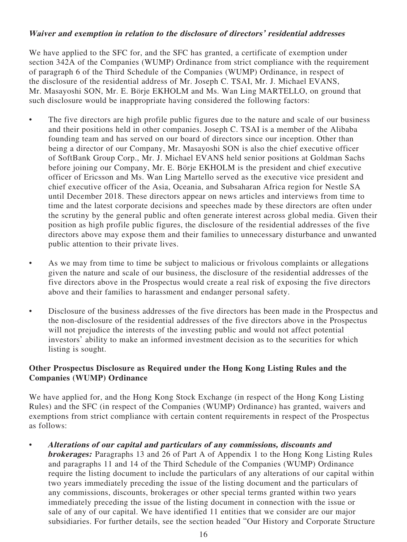#### **Waiver and exemption in relation to the disclosure of directors' residential addresses**

We have applied to the SFC for, and the SFC has granted, a certificate of exemption under section 342A of the Companies (WUMP) Ordinance from strict compliance with the requirement of paragraph 6 of the Third Schedule of the Companies (WUMP) Ordinance, in respect of the disclosure of the residential address of Mr. Joseph C. TSAI, Mr. J. Michael EVANS, Mr. Masayoshi SON, Mr. E. Börje EKHOLM and Ms. Wan Ling MARTELLO, on ground that such disclosure would be inappropriate having considered the following factors:

- The five directors are high profile public figures due to the nature and scale of our business and their positions held in other companies. Joseph C. TSAI is a member of the Alibaba founding team and has served on our board of directors since our inception. Other than being a director of our Company, Mr. Masayoshi SON is also the chief executive officer of SoftBank Group Corp., Mr. J. Michael EVANS held senior positions at Goldman Sachs before joining our Company, Mr. E. Börje EKHOLM is the president and chief executive officer of Ericsson and Ms. Wan Ling Martello served as the executive vice president and chief executive officer of the Asia, Oceania, and Subsaharan Africa region for Nestle SA until December 2018. These directors appear on news articles and interviews from time to time and the latest corporate decisions and speeches made by these directors are often under the scrutiny by the general public and often generate interest across global media. Given their position as high profile public figures, the disclosure of the residential addresses of the five directors above may expose them and their families to unnecessary disturbance and unwanted public attention to their private lives.
- As we may from time to time be subject to malicious or frivolous complaints or allegations given the nature and scale of our business, the disclosure of the residential addresses of the five directors above in the Prospectus would create a real risk of exposing the five directors above and their families to harassment and endanger personal safety.
- Disclosure of the business addresses of the five directors has been made in the Prospectus and the non-disclosure of the residential addresses of the five directors above in the Prospectus will not prejudice the interests of the investing public and would not affect potential investors' ability to make an informed investment decision as to the securities for which listing is sought.

#### **Other Prospectus Disclosure as Required under the Hong Kong Listing Rules and the Companies (WUMP) Ordinance**

We have applied for, and the Hong Kong Stock Exchange (in respect of the Hong Kong Listing Rules) and the SFC (in respect of the Companies (WUMP) Ordinance) has granted, waivers and exemptions from strict compliance with certain content requirements in respect of the Prospectus as follows:

• **Alterations of our capital and particulars of any commissions, discounts and brokerages:** Paragraphs 13 and 26 of Part A of Appendix 1 to the Hong Kong Listing Rules and paragraphs 11 and 14 of the Third Schedule of the Companies (WUMP) Ordinance require the listing document to include the particulars of any alterations of our capital within two years immediately preceding the issue of the listing document and the particulars of any commissions, discounts, brokerages or other special terms granted within two years immediately preceding the issue of the listing document in connection with the issue or sale of any of our capital. We have identified 11 entities that we consider are our major subsidiaries. For further details, see the section headed "Our History and Corporate Structure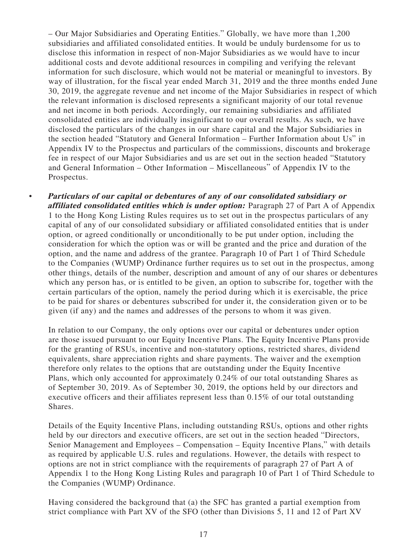– Our Major Subsidiaries and Operating Entities." Globally, we have more than 1,200 subsidiaries and affiliated consolidated entities. It would be unduly burdensome for us to disclose this information in respect of non-Major Subsidiaries as we would have to incur additional costs and devote additional resources in compiling and verifying the relevant information for such disclosure, which would not be material or meaningful to investors. By way of illustration, for the fiscal year ended March 31, 2019 and the three months ended June 30, 2019, the aggregate revenue and net income of the Major Subsidiaries in respect of which the relevant information is disclosed represents a significant majority of our total revenue and net income in both periods. Accordingly, our remaining subsidiaries and affiliated consolidated entities are individually insignificant to our overall results. As such, we have disclosed the particulars of the changes in our share capital and the Major Subsidiaries in the section headed "Statutory and General Information – Further Information about Us" in Appendix IV to the Prospectus and particulars of the commissions, discounts and brokerage fee in respect of our Major Subsidiaries and us are set out in the section headed "Statutory and General Information – Other Information – Miscellaneous" of Appendix IV to the Prospectus.

• **Particulars of our capital or debentures of any of our consolidated subsidiary or affiliated consolidated entities which is under option:** Paragraph 27 of Part A of Appendix 1 to the Hong Kong Listing Rules requires us to set out in the prospectus particulars of any capital of any of our consolidated subsidiary or affiliated consolidated entities that is under option, or agreed conditionally or unconditionally to be put under option, including the consideration for which the option was or will be granted and the price and duration of the option, and the name and address of the grantee. Paragraph 10 of Part 1 of Third Schedule to the Companies (WUMP) Ordinance further requires us to set out in the prospectus, among other things, details of the number, description and amount of any of our shares or debentures which any person has, or is entitled to be given, an option to subscribe for, together with the certain particulars of the option, namely the period during which it is exercisable, the price to be paid for shares or debentures subscribed for under it, the consideration given or to be given (if any) and the names and addresses of the persons to whom it was given.

In relation to our Company, the only options over our capital or debentures under option are those issued pursuant to our Equity Incentive Plans. The Equity Incentive Plans provide for the granting of RSUs, incentive and non-statutory options, restricted shares, dividend equivalents, share appreciation rights and share payments. The waiver and the exemption therefore only relates to the options that are outstanding under the Equity Incentive Plans, which only accounted for approximately 0.24% of our total outstanding Shares as of September 30, 2019. As of September 30, 2019, the options held by our directors and executive officers and their affiliates represent less than 0.15% of our total outstanding Shares.

Details of the Equity Incentive Plans, including outstanding RSUs, options and other rights held by our directors and executive officers, are set out in the section headed "Directors, Senior Management and Employees – Compensation – Equity Incentive Plans," with details as required by applicable U.S. rules and regulations. However, the details with respect to options are not in strict compliance with the requirements of paragraph 27 of Part A of Appendix 1 to the Hong Kong Listing Rules and paragraph 10 of Part 1 of Third Schedule to the Companies (WUMP) Ordinance.

Having considered the background that (a) the SFC has granted a partial exemption from strict compliance with Part XV of the SFO (other than Divisions 5, 11 and 12 of Part XV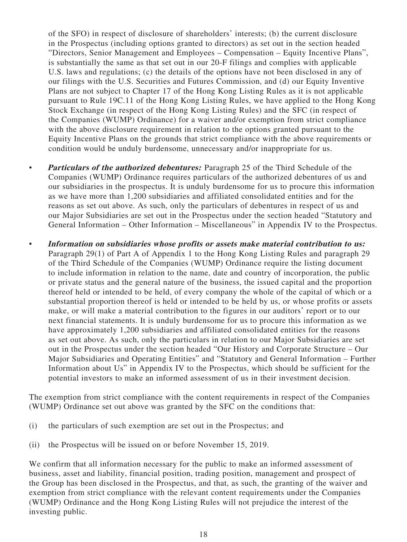of the SFO) in respect of disclosure of shareholders' interests; (b) the current disclosure in the Prospectus (including options granted to directors) as set out in the section headed "Directors, Senior Management and Employees – Compensation – Equity Incentive Plans", is substantially the same as that set out in our 20-F filings and complies with applicable U.S. laws and regulations; (c) the details of the options have not been disclosed in any of our filings with the U.S. Securities and Futures Commission, and (d) our Equity Inventive Plans are not subject to Chapter 17 of the Hong Kong Listing Rules as it is not applicable pursuant to Rule 19C.11 of the Hong Kong Listing Rules, we have applied to the Hong Kong Stock Exchange (in respect of the Hong Kong Listing Rules) and the SFC (in respect of the Companies (WUMP) Ordinance) for a waiver and/or exemption from strict compliance with the above disclosure requirement in relation to the options granted pursuant to the Equity Incentive Plans on the grounds that strict compliance with the above requirements or condition would be unduly burdensome, unnecessary and/or inappropriate for us.

- **Particulars of the authorized debentures:** Paragraph 25 of the Third Schedule of the Companies (WUMP) Ordinance requires particulars of the authorized debentures of us and our subsidiaries in the prospectus. It is unduly burdensome for us to procure this information as we have more than 1,200 subsidiaries and affiliated consolidated entities and for the reasons as set out above. As such, only the particulars of debentures in respect of us and our Major Subsidiaries are set out in the Prospectus under the section headed "Statutory and General Information – Other Information – Miscellaneous" in Appendix IV to the Prospectus.
- **Information on subsidiaries whose profits or assets make material contribution to us:**  Paragraph 29(1) of Part A of Appendix 1 to the Hong Kong Listing Rules and paragraph 29 of the Third Schedule of the Companies (WUMP) Ordinance require the listing document to include information in relation to the name, date and country of incorporation, the public or private status and the general nature of the business, the issued capital and the proportion thereof held or intended to be held, of every company the whole of the capital of which or a substantial proportion thereof is held or intended to be held by us, or whose profits or assets make, or will make a material contribution to the figures in our auditors' report or to our next financial statements. It is unduly burdensome for us to procure this information as we have approximately 1,200 subsidiaries and affiliated consolidated entities for the reasons as set out above. As such, only the particulars in relation to our Major Subsidiaries are set out in the Prospectus under the section headed "Our History and Corporate Structure – Our Major Subsidiaries and Operating Entities" and "Statutory and General Information – Further Information about Us" in Appendix IV to the Prospectus, which should be sufficient for the potential investors to make an informed assessment of us in their investment decision.

The exemption from strict compliance with the content requirements in respect of the Companies (WUMP) Ordinance set out above was granted by the SFC on the conditions that:

- (i) the particulars of such exemption are set out in the Prospectus; and
- (ii) the Prospectus will be issued on or before November 15, 2019.

We confirm that all information necessary for the public to make an informed assessment of business, asset and liability, financial position, trading position, management and prospect of the Group has been disclosed in the Prospectus, and that, as such, the granting of the waiver and exemption from strict compliance with the relevant content requirements under the Companies (WUMP) Ordinance and the Hong Kong Listing Rules will not prejudice the interest of the investing public.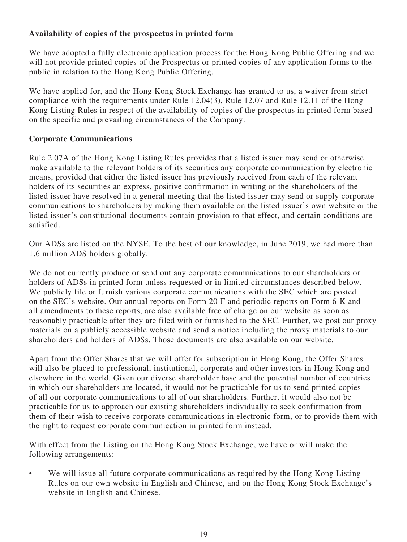# **Availability of copies of the prospectus in printed form**

We have adopted a fully electronic application process for the Hong Kong Public Offering and we will not provide printed copies of the Prospectus or printed copies of any application forms to the public in relation to the Hong Kong Public Offering.

We have applied for, and the Hong Kong Stock Exchange has granted to us, a waiver from strict compliance with the requirements under Rule 12.04(3), Rule 12.07 and Rule 12.11 of the Hong Kong Listing Rules in respect of the availability of copies of the prospectus in printed form based on the specific and prevailing circumstances of the Company.

#### **Corporate Communications**

Rule 2.07A of the Hong Kong Listing Rules provides that a listed issuer may send or otherwise make available to the relevant holders of its securities any corporate communication by electronic means, provided that either the listed issuer has previously received from each of the relevant holders of its securities an express, positive confirmation in writing or the shareholders of the listed issuer have resolved in a general meeting that the listed issuer may send or supply corporate communications to shareholders by making them available on the listed issuer's own website or the listed issuer's constitutional documents contain provision to that effect, and certain conditions are satisfied.

Our ADSs are listed on the NYSE. To the best of our knowledge, in June 2019, we had more than 1.6 million ADS holders globally.

We do not currently produce or send out any corporate communications to our shareholders or holders of ADSs in printed form unless requested or in limited circumstances described below. We publicly file or furnish various corporate communications with the SEC which are posted on the SEC's website. Our annual reports on Form 20-F and periodic reports on Form 6-K and all amendments to these reports, are also available free of charge on our website as soon as reasonably practicable after they are filed with or furnished to the SEC. Further, we post our proxy materials on a publicly accessible website and send a notice including the proxy materials to our shareholders and holders of ADSs. Those documents are also available on our website.

Apart from the Offer Shares that we will offer for subscription in Hong Kong, the Offer Shares will also be placed to professional, institutional, corporate and other investors in Hong Kong and elsewhere in the world. Given our diverse shareholder base and the potential number of countries in which our shareholders are located, it would not be practicable for us to send printed copies of all our corporate communications to all of our shareholders. Further, it would also not be practicable for us to approach our existing shareholders individually to seek confirmation from them of their wish to receive corporate communications in electronic form, or to provide them with the right to request corporate communication in printed form instead.

With effect from the Listing on the Hong Kong Stock Exchange, we have or will make the following arrangements:

We will issue all future corporate communications as required by the Hong Kong Listing Rules on our own website in English and Chinese, and on the Hong Kong Stock Exchange's website in English and Chinese.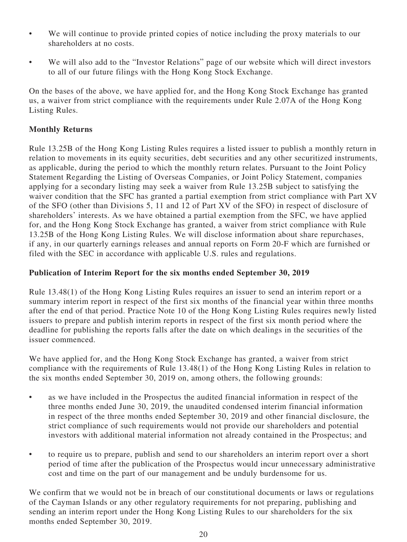- We will continue to provide printed copies of notice including the proxy materials to our shareholders at no costs.
- We will also add to the "Investor Relations" page of our website which will direct investors to all of our future filings with the Hong Kong Stock Exchange.

On the bases of the above, we have applied for, and the Hong Kong Stock Exchange has granted us, a waiver from strict compliance with the requirements under Rule 2.07A of the Hong Kong Listing Rules.

### **Monthly Returns**

Rule 13.25B of the Hong Kong Listing Rules requires a listed issuer to publish a monthly return in relation to movements in its equity securities, debt securities and any other securitized instruments, as applicable, during the period to which the monthly return relates. Pursuant to the Joint Policy Statement Regarding the Listing of Overseas Companies, or Joint Policy Statement, companies applying for a secondary listing may seek a waiver from Rule 13.25B subject to satisfying the waiver condition that the SFC has granted a partial exemption from strict compliance with Part XV of the SFO (other than Divisions 5, 11 and 12 of Part XV of the SFO) in respect of disclosure of shareholders' interests. As we have obtained a partial exemption from the SFC, we have applied for, and the Hong Kong Stock Exchange has granted, a waiver from strict compliance with Rule 13.25B of the Hong Kong Listing Rules. We will disclose information about share repurchases, if any, in our quarterly earnings releases and annual reports on Form 20-F which are furnished or filed with the SEC in accordance with applicable U.S. rules and regulations.

#### **Publication of Interim Report for the six months ended September 30, 2019**

Rule 13.48(1) of the Hong Kong Listing Rules requires an issuer to send an interim report or a summary interim report in respect of the first six months of the financial year within three months after the end of that period. Practice Note 10 of the Hong Kong Listing Rules requires newly listed issuers to prepare and publish interim reports in respect of the first six month period where the deadline for publishing the reports falls after the date on which dealings in the securities of the issuer commenced.

We have applied for, and the Hong Kong Stock Exchange has granted, a waiver from strict compliance with the requirements of Rule 13.48(1) of the Hong Kong Listing Rules in relation to the six months ended September 30, 2019 on, among others, the following grounds:

- as we have included in the Prospectus the audited financial information in respect of the three months ended June 30, 2019, the unaudited condensed interim financial information in respect of the three months ended September 30, 2019 and other financial disclosure, the strict compliance of such requirements would not provide our shareholders and potential investors with additional material information not already contained in the Prospectus; and
- to require us to prepare, publish and send to our shareholders an interim report over a short period of time after the publication of the Prospectus would incur unnecessary administrative cost and time on the part of our management and be unduly burdensome for us.

We confirm that we would not be in breach of our constitutional documents or laws or regulations of the Cayman Islands or any other regulatory requirements for not preparing, publishing and sending an interim report under the Hong Kong Listing Rules to our shareholders for the six months ended September 30, 2019.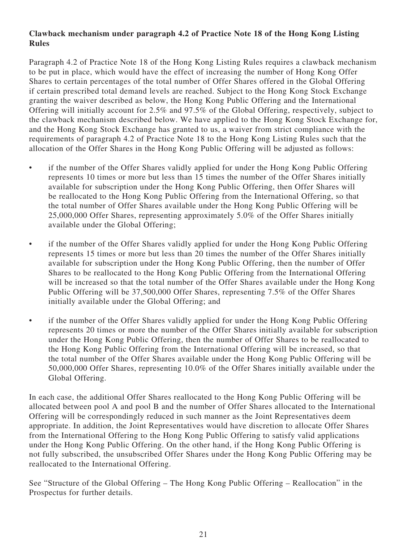## **Clawback mechanism under paragraph 4.2 of Practice Note 18 of the Hong Kong Listing Rules**

Paragraph 4.2 of Practice Note 18 of the Hong Kong Listing Rules requires a clawback mechanism to be put in place, which would have the effect of increasing the number of Hong Kong Offer Shares to certain percentages of the total number of Offer Shares offered in the Global Offering if certain prescribed total demand levels are reached. Subject to the Hong Kong Stock Exchange granting the waiver described as below, the Hong Kong Public Offering and the International Offering will initially account for 2.5% and 97.5% of the Global Offering, respectively, subject to the clawback mechanism described below. We have applied to the Hong Kong Stock Exchange for, and the Hong Kong Stock Exchange has granted to us, a waiver from strict compliance with the requirements of paragraph 4.2 of Practice Note 18 to the Hong Kong Listing Rules such that the allocation of the Offer Shares in the Hong Kong Public Offering will be adjusted as follows:

- if the number of the Offer Shares validly applied for under the Hong Kong Public Offering represents 10 times or more but less than 15 times the number of the Offer Shares initially available for subscription under the Hong Kong Public Offering, then Offer Shares will be reallocated to the Hong Kong Public Offering from the International Offering, so that the total number of Offer Shares available under the Hong Kong Public Offering will be 25,000,000 Offer Shares, representing approximately 5.0% of the Offer Shares initially available under the Global Offering;
- if the number of the Offer Shares validly applied for under the Hong Kong Public Offering represents 15 times or more but less than 20 times the number of the Offer Shares initially available for subscription under the Hong Kong Public Offering, then the number of Offer Shares to be reallocated to the Hong Kong Public Offering from the International Offering will be increased so that the total number of the Offer Shares available under the Hong Kong Public Offering will be 37,500,000 Offer Shares, representing 7.5% of the Offer Shares initially available under the Global Offering; and
- if the number of the Offer Shares validly applied for under the Hong Kong Public Offering represents 20 times or more the number of the Offer Shares initially available for subscription under the Hong Kong Public Offering, then the number of Offer Shares to be reallocated to the Hong Kong Public Offering from the International Offering will be increased, so that the total number of the Offer Shares available under the Hong Kong Public Offering will be 50,000,000 Offer Shares, representing 10.0% of the Offer Shares initially available under the Global Offering.

In each case, the additional Offer Shares reallocated to the Hong Kong Public Offering will be allocated between pool A and pool B and the number of Offer Shares allocated to the International Offering will be correspondingly reduced in such manner as the Joint Representatives deem appropriate. In addition, the Joint Representatives would have discretion to allocate Offer Shares from the International Offering to the Hong Kong Public Offering to satisfy valid applications under the Hong Kong Public Offering. On the other hand, if the Hong Kong Public Offering is not fully subscribed, the unsubscribed Offer Shares under the Hong Kong Public Offering may be reallocated to the International Offering.

See "Structure of the Global Offering – The Hong Kong Public Offering – Reallocation" in the Prospectus for further details.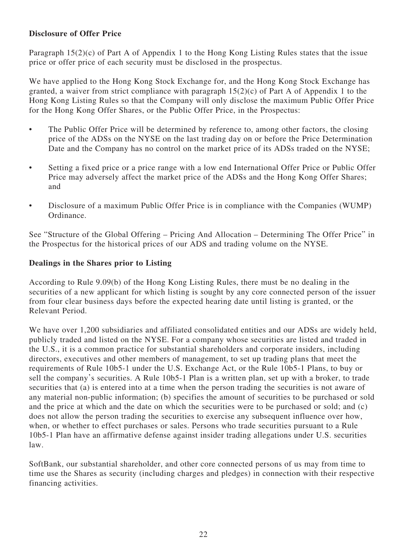### **Disclosure of Offer Price**

Paragraph 15(2)(c) of Part A of Appendix 1 to the Hong Kong Listing Rules states that the issue price or offer price of each security must be disclosed in the prospectus.

We have applied to the Hong Kong Stock Exchange for, and the Hong Kong Stock Exchange has granted, a waiver from strict compliance with paragraph  $15(2)(c)$  of Part A of Appendix 1 to the Hong Kong Listing Rules so that the Company will only disclose the maximum Public Offer Price for the Hong Kong Offer Shares, or the Public Offer Price, in the Prospectus:

- The Public Offer Price will be determined by reference to, among other factors, the closing price of the ADSs on the NYSE on the last trading day on or before the Price Determination Date and the Company has no control on the market price of its ADSs traded on the NYSE;
- Setting a fixed price or a price range with a low end International Offer Price or Public Offer Price may adversely affect the market price of the ADSs and the Hong Kong Offer Shares; and
- Disclosure of a maximum Public Offer Price is in compliance with the Companies (WUMP) Ordinance.

See "Structure of the Global Offering – Pricing And Allocation – Determining The Offer Price" in the Prospectus for the historical prices of our ADS and trading volume on the NYSE.

#### **Dealings in the Shares prior to Listing**

According to Rule 9.09(b) of the Hong Kong Listing Rules, there must be no dealing in the securities of a new applicant for which listing is sought by any core connected person of the issuer from four clear business days before the expected hearing date until listing is granted, or the Relevant Period.

We have over 1,200 subsidiaries and affiliated consolidated entities and our ADSs are widely held, publicly traded and listed on the NYSE. For a company whose securities are listed and traded in the U.S., it is a common practice for substantial shareholders and corporate insiders, including directors, executives and other members of management, to set up trading plans that meet the requirements of Rule 10b5-1 under the U.S. Exchange Act, or the Rule 10b5-1 Plans, to buy or sell the company's securities. A Rule 10b5-1 Plan is a written plan, set up with a broker, to trade securities that (a) is entered into at a time when the person trading the securities is not aware of any material non-public information; (b) specifies the amount of securities to be purchased or sold and the price at which and the date on which the securities were to be purchased or sold; and (c) does not allow the person trading the securities to exercise any subsequent influence over how, when, or whether to effect purchases or sales. Persons who trade securities pursuant to a Rule 10b5-1 Plan have an affirmative defense against insider trading allegations under U.S. securities law.

SoftBank, our substantial shareholder, and other core connected persons of us may from time to time use the Shares as security (including charges and pledges) in connection with their respective financing activities.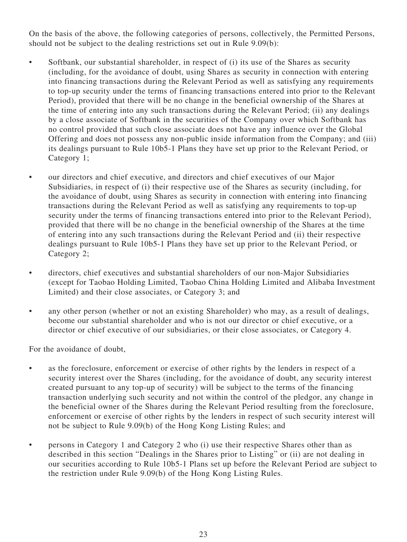On the basis of the above, the following categories of persons, collectively, the Permitted Persons, should not be subject to the dealing restrictions set out in Rule 9.09(b):

- Softbank, our substantial shareholder, in respect of (i) its use of the Shares as security (including, for the avoidance of doubt, using Shares as security in connection with entering into financing transactions during the Relevant Period as well as satisfying any requirements to top-up security under the terms of financing transactions entered into prior to the Relevant Period), provided that there will be no change in the beneficial ownership of the Shares at the time of entering into any such transactions during the Relevant Period; (ii) any dealings by a close associate of Softbank in the securities of the Company over which Softbank has no control provided that such close associate does not have any influence over the Global Offering and does not possess any non-public inside information from the Company; and (iii) its dealings pursuant to Rule 10b5-1 Plans they have set up prior to the Relevant Period, or Category 1;
- our directors and chief executive, and directors and chief executives of our Major Subsidiaries, in respect of (i) their respective use of the Shares as security (including, for the avoidance of doubt, using Shares as security in connection with entering into financing transactions during the Relevant Period as well as satisfying any requirements to top-up security under the terms of financing transactions entered into prior to the Relevant Period), provided that there will be no change in the beneficial ownership of the Shares at the time of entering into any such transactions during the Relevant Period and (ii) their respective dealings pursuant to Rule 10b5-1 Plans they have set up prior to the Relevant Period, or Category 2;
- directors, chief executives and substantial shareholders of our non-Major Subsidiaries (except for Taobao Holding Limited, Taobao China Holding Limited and Alibaba Investment Limited) and their close associates, or Category 3; and
- any other person (whether or not an existing Shareholder) who may, as a result of dealings, become our substantial shareholder and who is not our director or chief executive, or a director or chief executive of our subsidiaries, or their close associates, or Category 4.

For the avoidance of doubt,

- as the foreclosure, enforcement or exercise of other rights by the lenders in respect of a security interest over the Shares (including, for the avoidance of doubt, any security interest created pursuant to any top-up of security) will be subject to the terms of the financing transaction underlying such security and not within the control of the pledgor, any change in the beneficial owner of the Shares during the Relevant Period resulting from the foreclosure, enforcement or exercise of other rights by the lenders in respect of such security interest will not be subject to Rule 9.09(b) of the Hong Kong Listing Rules; and
- persons in Category 1 and Category 2 who (i) use their respective Shares other than as described in this section "Dealings in the Shares prior to Listing" or (ii) are not dealing in our securities according to Rule 10b5-1 Plans set up before the Relevant Period are subject to the restriction under Rule 9.09(b) of the Hong Kong Listing Rules.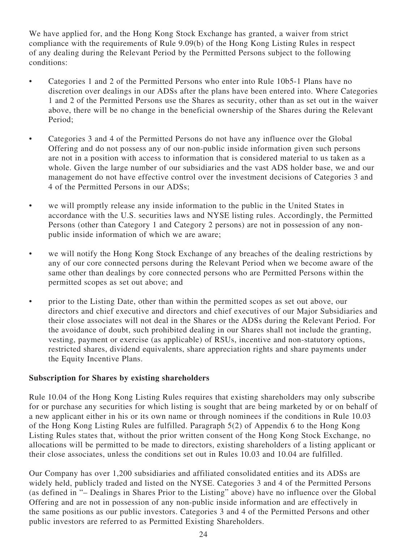We have applied for, and the Hong Kong Stock Exchange has granted, a waiver from strict compliance with the requirements of Rule 9.09(b) of the Hong Kong Listing Rules in respect of any dealing during the Relevant Period by the Permitted Persons subject to the following conditions:

- Categories 1 and 2 of the Permitted Persons who enter into Rule 10b5-1 Plans have no discretion over dealings in our ADSs after the plans have been entered into. Where Categories 1 and 2 of the Permitted Persons use the Shares as security, other than as set out in the waiver above, there will be no change in the beneficial ownership of the Shares during the Relevant Period;
- Categories 3 and 4 of the Permitted Persons do not have any influence over the Global Offering and do not possess any of our non-public inside information given such persons are not in a position with access to information that is considered material to us taken as a whole. Given the large number of our subsidiaries and the vast ADS holder base, we and our management do not have effective control over the investment decisions of Categories 3 and 4 of the Permitted Persons in our ADSs;
- we will promptly release any inside information to the public in the United States in accordance with the U.S. securities laws and NYSE listing rules. Accordingly, the Permitted Persons (other than Category 1 and Category 2 persons) are not in possession of any nonpublic inside information of which we are aware;
- we will notify the Hong Kong Stock Exchange of any breaches of the dealing restrictions by any of our core connected persons during the Relevant Period when we become aware of the same other than dealings by core connected persons who are Permitted Persons within the permitted scopes as set out above; and
- prior to the Listing Date, other than within the permitted scopes as set out above, our directors and chief executive and directors and chief executives of our Major Subsidiaries and their close associates will not deal in the Shares or the ADSs during the Relevant Period. For the avoidance of doubt, such prohibited dealing in our Shares shall not include the granting, vesting, payment or exercise (as applicable) of RSUs, incentive and non-statutory options, restricted shares, dividend equivalents, share appreciation rights and share payments under the Equity Incentive Plans.

#### **Subscription for Shares by existing shareholders**

Rule 10.04 of the Hong Kong Listing Rules requires that existing shareholders may only subscribe for or purchase any securities for which listing is sought that are being marketed by or on behalf of a new applicant either in his or its own name or through nominees if the conditions in Rule 10.03 of the Hong Kong Listing Rules are fulfilled. Paragraph 5(2) of Appendix 6 to the Hong Kong Listing Rules states that, without the prior written consent of the Hong Kong Stock Exchange, no allocations will be permitted to be made to directors, existing shareholders of a listing applicant or their close associates, unless the conditions set out in Rules 10.03 and 10.04 are fulfilled.

Our Company has over 1,200 subsidiaries and affiliated consolidated entities and its ADSs are widely held, publicly traded and listed on the NYSE. Categories 3 and 4 of the Permitted Persons (as defined in "– Dealings in Shares Prior to the Listing" above) have no influence over the Global Offering and are not in possession of any non-public inside information and are effectively in the same positions as our public investors. Categories 3 and 4 of the Permitted Persons and other public investors are referred to as Permitted Existing Shareholders.